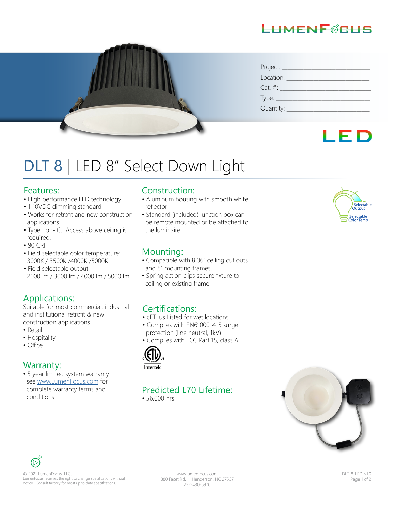## LIMENFØRLIS



| Project: ___   |
|----------------|
| Location:      |
| $Cat. \#:$     |
| Type: $\_$     |
| Quantity: $\_$ |

# LED

# DLT 8 | LED 8" Select Down Light

#### Features:

- High performance LED technology
- 1-10VDC dimming standard
- Works for retrofit and new construction applications
- Type non-IC. Access above ceiling is required.
- 90 CRI
- Field selectable color temperature: 3000K / 3500K /4000K /5000K
- Field selectable output: 2000 lm / 3000 lm / 4000 lm / 5000 lm

#### Applications:

Suitable for most commercial, industrial and institutional retrofit & new construction applications

- Retail
- Hospitality
- Office

#### Warranty:

• 5 year limited system warranty see www.LumenFocus.com for complete warranty terms and conditions

#### Construction:

- Aluminum housing with smooth white reflector
- Standard (included) junction box can be remote mounted or be attached to the luminaire

#### Mounting:

- Compatible with 8.06" ceiling cut outs and 8" mounting frames.
- Spring action clips secure fixture to ceiling or existing frame

#### Certifications:

- cETLus Listed for wet locations
- Complies with EN61000-4-5 surge protection (line neutral, 1kV)
- Complies with FCC Part 15, class A



# Predicted L70 Lifetime:

• 56,000 hrs





© 2021 LumenFocus, LLC. LumenFocus reserves the right to change specifications without notice. Consult factory for most up to date specifications.

www.lumenfocus.com 880 Facet Rd. | Henderson, NC 27537 252-430-6970

DLT\_8\_LED\_v1.0 Page 1 of 2